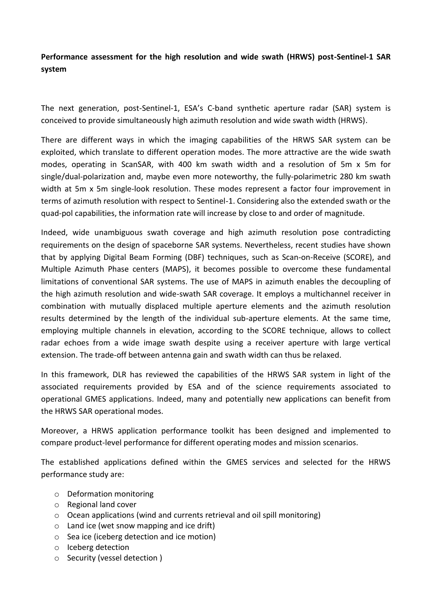**Performance assessment for the high resolution and wide swath (HRWS) post-Sentinel-1 SAR system**

The next generation, post-Sentinel-1, ESA's C-band synthetic aperture radar (SAR) system is conceived to provide simultaneously high azimuth resolution and wide swath width (HRWS).

There are different ways in which the imaging capabilities of the HRWS SAR system can be exploited, which translate to different operation modes. The more attractive are the wide swath modes, operating in ScanSAR, with 400 km swath width and a resolution of 5m x 5m for single/dual-polarization and, maybe even more noteworthy, the fully-polarimetric 280 km swath width at 5m x 5m single-look resolution. These modes represent a factor four improvement in terms of azimuth resolution with respect to Sentinel-1. Considering also the extended swath or the quad-pol capabilities, the information rate will increase by close to and order of magnitude.

Indeed, wide unambiguous swath coverage and high azimuth resolution pose contradicting requirements on the design of spaceborne SAR systems. Nevertheless, recent studies have shown that by applying Digital Beam Forming (DBF) techniques, such as Scan-on-Receive (SCORE), and Multiple Azimuth Phase centers (MAPS), it becomes possible to overcome these fundamental limitations of conventional SAR systems. The use of MAPS in azimuth enables the decoupling of the high azimuth resolution and wide-swath SAR coverage. It employs a multichannel receiver in combination with mutually displaced multiple aperture elements and the azimuth resolution results determined by the length of the individual sub-aperture elements. At the same time, employing multiple channels in elevation, according to the SCORE technique, allows to collect radar echoes from a wide image swath despite using a receiver aperture with large vertical extension. The trade-off between antenna gain and swath width can thus be relaxed.

In this framework, DLR has reviewed the capabilities of the HRWS SAR system in light of the associated requirements provided by ESA and of the science requirements associated to operational GMES applications. Indeed, many and potentially new applications can benefit from the HRWS SAR operational modes.

Moreover, a HRWS application performance toolkit has been designed and implemented to compare product-level performance for different operating modes and mission scenarios.

The established applications defined within the GMES services and selected for the HRWS performance study are:

- o Deformation monitoring
- o Regional land cover
- o Ocean applications (wind and currents retrieval and oil spill monitoring)
- o Land ice (wet snow mapping and ice drift)
- o Sea ice (iceberg detection and ice motion)
- o Iceberg detection
- o Security (vessel detection )